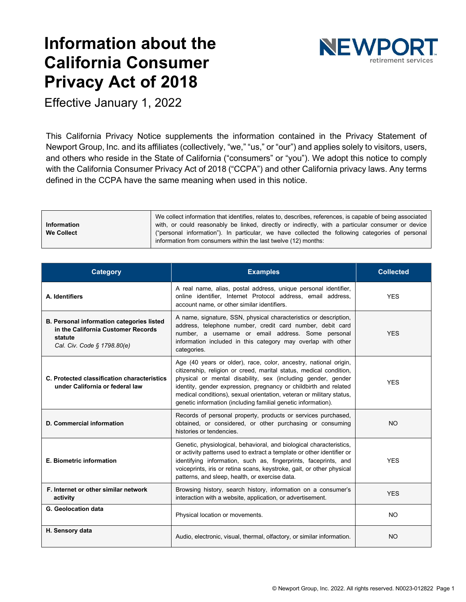# **Information about the California Consumer Privacy Act of 2018**



Effective January 1, 2022

This California Privacy Notice supplements the information contained in the Privacy Statement of Newport Group, Inc. and its affiliates (collectively, "we," "us," or "our") and applies solely to visitors, users, and others who reside in the State of California ("consumers" or "you"). We adopt this notice to comply with the California Consumer Privacy Act of 2018 ("CCPA") and other California privacy laws. Any terms defined in the CCPA have the same meaning when used in this notice.

|                   | We collect information that identifies, relates to, describes, references, is capable of being associated |  |  |
|-------------------|-----------------------------------------------------------------------------------------------------------|--|--|
| Information       | with, or could reasonably be linked, directly or indirectly, with a particular consumer or device         |  |  |
| <b>We Collect</b> | ("personal information"). In particular, we have collected the following categories of personal           |  |  |
|                   | information from consumers within the last twelve (12) months:                                            |  |  |

| <b>Category</b>                                                                                                           | <b>Examples</b>                                                                                                                                                                                                                                                                                                                                                                                                     | <b>Collected</b> |
|---------------------------------------------------------------------------------------------------------------------------|---------------------------------------------------------------------------------------------------------------------------------------------------------------------------------------------------------------------------------------------------------------------------------------------------------------------------------------------------------------------------------------------------------------------|------------------|
| A. Identifiers                                                                                                            | A real name, alias, postal address, unique personal identifier,<br>online identifier, Internet Protocol address, email address,<br>account name, or other similar identifiers.                                                                                                                                                                                                                                      | <b>YES</b>       |
| B. Personal information categories listed<br>in the California Customer Records<br>statute<br>Cal. Civ. Code § 1798.80(e) | A name, signature, SSN, physical characteristics or description,<br>address, telephone number, credit card number, debit card<br>number, a username or email address. Some personal<br>information included in this category may overlap with other<br>categories.                                                                                                                                                  | <b>YFS</b>       |
| C. Protected classification characteristics<br>under California or federal law                                            | Age (40 years or older), race, color, ancestry, national origin,<br>citizenship, religion or creed, marital status, medical condition,<br>physical or mental disability, sex (including gender, gender<br>identity, gender expression, pregnancy or childbirth and related<br>medical conditions), sexual orientation, veteran or military status,<br>genetic information (including familial genetic information). | <b>YES</b>       |
| D. Commercial information                                                                                                 | Records of personal property, products or services purchased,<br>obtained, or considered, or other purchasing or consuming<br>histories or tendencies.                                                                                                                                                                                                                                                              | <b>NO</b>        |
| <b>E. Biometric information</b>                                                                                           | Genetic, physiological, behavioral, and biological characteristics,<br>or activity patterns used to extract a template or other identifier or<br>identifying information, such as, fingerprints, faceprints, and<br>voiceprints, iris or retina scans, keystroke, gait, or other physical<br>patterns, and sleep, health, or exercise data.                                                                         | <b>YES</b>       |
| F. Internet or other similar network<br>activity                                                                          | Browsing history, search history, information on a consumer's<br>interaction with a website, application, or advertisement.                                                                                                                                                                                                                                                                                         | <b>YFS</b>       |
| G. Geolocation data                                                                                                       | Physical location or movements.                                                                                                                                                                                                                                                                                                                                                                                     | <b>NO</b>        |
| H. Sensory data                                                                                                           | Audio, electronic, visual, thermal, olfactory, or similar information.                                                                                                                                                                                                                                                                                                                                              | <b>NO</b>        |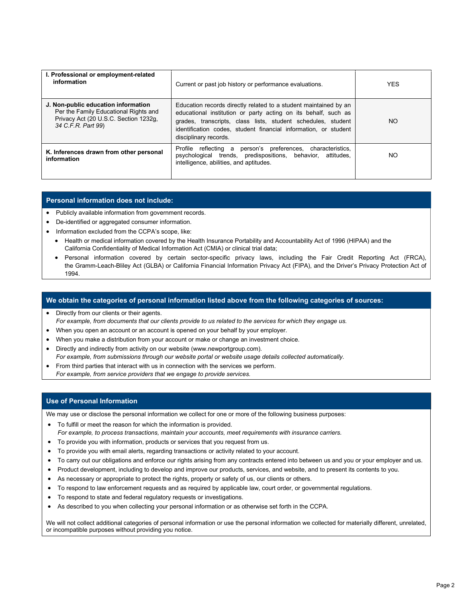| I. Professional or employment-related<br>information                                                                                        | Current or past job history or performance evaluations.                                                                                                                                                                                                                                        | <b>YES</b> |
|---------------------------------------------------------------------------------------------------------------------------------------------|------------------------------------------------------------------------------------------------------------------------------------------------------------------------------------------------------------------------------------------------------------------------------------------------|------------|
| J. Non-public education information<br>Per the Family Educational Rights and<br>Privacy Act (20 U.S.C. Section 1232g,<br>34 C.F.R. Part 99) | Education records directly related to a student maintained by an<br>educational institution or party acting on its behalf, such as<br>grades, transcripts, class lists, student schedules, student<br>identification codes, student financial information, or student<br>disciplinary records. | <b>NO</b>  |
| K. Inferences drawn from other personal<br>information                                                                                      | Profile reflecting a person's preferences, characteristics,<br>psychological trends, predispositions, behavior, attitudes,<br>intelligence, abilities, and aptitudes.                                                                                                                          | NO.        |

## **Personal information does not include:**

- Publicly available information from government records.
- De-identified or aggregated consumer information.
- Information excluded from the CCPA's scope, like:
	- Health or medical information covered by the Health Insurance Portability and Accountability Act of 1996 (HIPAA) and the California Confidentiality of Medical Information Act (CMIA) or clinical trial data;
	- Personal information covered by certain sector-specific privacy laws, including the Fair Credit Reporting Act (FRCA), the Gramm-Leach-Bliley Act (GLBA) or California Financial Information Privacy Act (FIPA), and the Driver's Privacy Protection Act of 1994.

## **We obtain the categories of personal information listed above from the following categories of sources:**

- Directly from our clients or their agents. *For example, from documents that our clients provide to us related to the services for which they engage us.*
- When you open an account or an account is opened on your behalf by your employer.
- When you make a distribution from your account or make or change an investment choice.
- Directly and indirectly from activity on our website (www.newportgroup.com). *For example, from submissions through our website portal or website usage details collected automatically.*
- From third parties that interact with us in connection with the services we perform. *For example, from service providers that we engage to provide services.*

## **Use of Personal Information**

We may use or disclose the personal information we collect for one or more of the following business purposes:

- To fulfill or meet the reason for which the information is provided. *For example, to process transactions, maintain your accounts, meet requirements with insurance carriers.*
- To provide you with information, products or services that you request from us.
- To provide you with email alerts, regarding transactions or activity related to your account.
- To carry out our obligations and enforce our rights arising from any contracts entered into between us and you or your employer and us.
- Product development, including to develop and improve our products, services, and website, and to present its contents to you.
- As necessary or appropriate to protect the rights, property or safety of us, our clients or others.
- To respond to law enforcement requests and as required by applicable law, court order, or governmental regulations.
- To respond to state and federal regulatory requests or investigations.
- As described to you when collecting your personal information or as otherwise set forth in the CCPA.

We will not collect additional categories of personal information or use the personal information we collected for materially different, unrelated, or incompatible purposes without providing you notice.